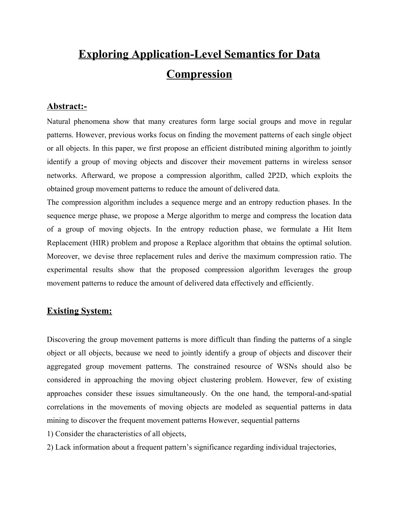# **Exploring Application-Level Semantics for Data Compression**

## **Abstract:-**

Natural phenomena show that many creatures form large social groups and move in regular patterns. However, previous works focus on finding the movement patterns of each single object or all objects. In this paper, we first propose an efficient distributed mining algorithm to jointly identify a group of moving objects and discover their movement patterns in wireless sensor networks. Afterward, we propose a compression algorithm, called 2P2D, which exploits the obtained group movement patterns to reduce the amount of delivered data.

The compression algorithm includes a sequence merge and an entropy reduction phases. In the sequence merge phase, we propose a Merge algorithm to merge and compress the location data of a group of moving objects. In the entropy reduction phase, we formulate a Hit Item Replacement (HIR) problem and propose a Replace algorithm that obtains the optimal solution. Moreover, we devise three replacement rules and derive the maximum compression ratio. The experimental results show that the proposed compression algorithm leverages the group movement patterns to reduce the amount of delivered data effectively and efficiently.

# **Existing System:**

Discovering the group movement patterns is more difficult than finding the patterns of a single object or all objects, because we need to jointly identify a group of objects and discover their aggregated group movement patterns. The constrained resource of WSNs should also be considered in approaching the moving object clustering problem. However, few of existing approaches consider these issues simultaneously. On the one hand, the temporal-and-spatial correlations in the movements of moving objects are modeled as sequential patterns in data mining to discover the frequent movement patterns However, sequential patterns

1) Consider the characteristics of all objects,

2) Lack information about a frequent pattern's significance regarding individual trajectories,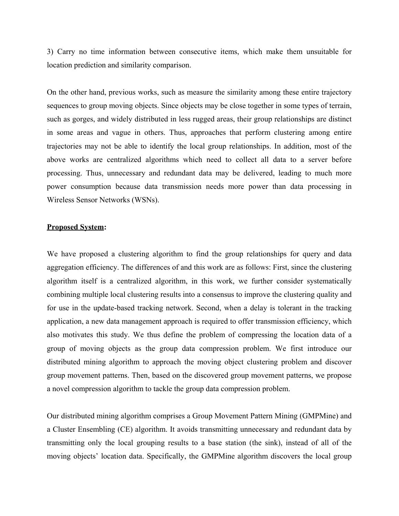3) Carry no time information between consecutive items, which make them unsuitable for location prediction and similarity comparison.

On the other hand, previous works, such as measure the similarity among these entire trajectory sequences to group moving objects. Since objects may be close together in some types of terrain, such as gorges, and widely distributed in less rugged areas, their group relationships are distinct in some areas and vague in others. Thus, approaches that perform clustering among entire trajectories may not be able to identify the local group relationships. In addition, most of the above works are centralized algorithms which need to collect all data to a server before processing. Thus, unnecessary and redundant data may be delivered, leading to much more power consumption because data transmission needs more power than data processing in Wireless Sensor Networks (WSNs).

#### **Proposed System:**

We have proposed a clustering algorithm to find the group relationships for query and data aggregation efficiency. The differences of and this work are as follows: First, since the clustering algorithm itself is a centralized algorithm, in this work, we further consider systematically combining multiple local clustering results into a consensus to improve the clustering quality and for use in the update-based tracking network. Second, when a delay is tolerant in the tracking application, a new data management approach is required to offer transmission efficiency, which also motivates this study. We thus define the problem of compressing the location data of a group of moving objects as the group data compression problem. We first introduce our distributed mining algorithm to approach the moving object clustering problem and discover group movement patterns. Then, based on the discovered group movement patterns, we propose a novel compression algorithm to tackle the group data compression problem.

Our distributed mining algorithm comprises a Group Movement Pattern Mining (GMPMine) and a Cluster Ensembling (CE) algorithm. It avoids transmitting unnecessary and redundant data by transmitting only the local grouping results to a base station (the sink), instead of all of the moving objects' location data. Specifically, the GMPMine algorithm discovers the local group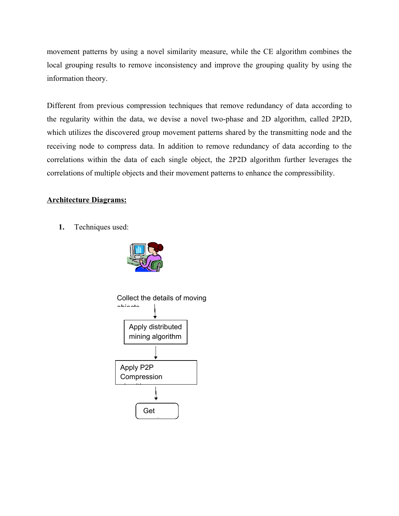movement patterns by using a novel similarity measure, while the CE algorithm combines the local grouping results to remove inconsistency and improve the grouping quality by using the information theory.

Different from previous compression techniques that remove redundancy of data according to the regularity within the data, we devise a novel two-phase and 2D algorithm, called 2P2D, which utilizes the discovered group movement patterns shared by the transmitting node and the receiving node to compress data. In addition to remove redundancy of data according to the correlations within the data of each single object, the 2P2D algorithm further leverages the correlations of multiple objects and their movement patterns to enhance the compressibility.

## **Architecture Diagrams:**

**1.** Techniques used:



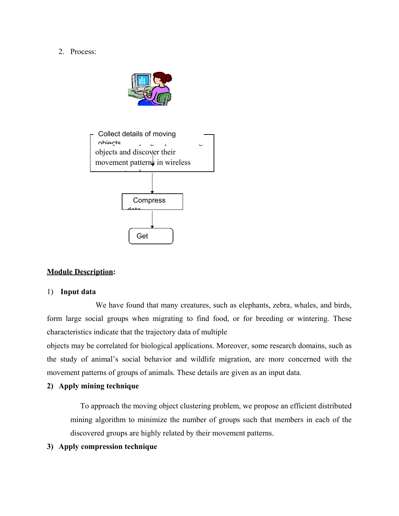#### 2. Process:





## **Module Description:**

#### 1) **Input data**

We have found that many creatures, such as elephants, zebra, whales, and birds, form large social groups when migrating to find food, or for breeding or wintering. These characteristics indicate that the trajectory data of multiple

objects may be correlated for biological applications. Moreover, some research domains, such as the study of animal's social behavior and wildlife migration, are more concerned with the movement patterns of groups of animals. These details are given as an input data.

#### **2) Apply mining technique**

To approach the moving object clustering problem, we propose an efficient distributed mining algorithm to minimize the number of groups such that members in each of the discovered groups are highly related by their movement patterns.

#### **3) Apply compression technique**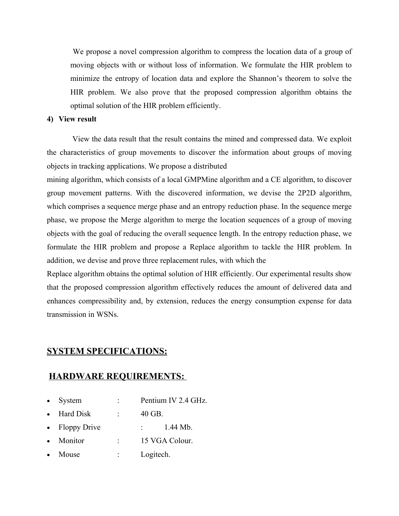We propose a novel compression algorithm to compress the location data of a group of moving objects with or without loss of information. We formulate the HIR problem to minimize the entropy of location data and explore the Shannon's theorem to solve the HIR problem. We also prove that the proposed compression algorithm obtains the optimal solution of the HIR problem efficiently.

#### **4) View result**

View the data result that the result contains the mined and compressed data. We exploit the characteristics of group movements to discover the information about groups of moving objects in tracking applications. We propose a distributed

mining algorithm, which consists of a local GMPMine algorithm and a CE algorithm, to discover group movement patterns. With the discovered information, we devise the 2P2D algorithm, which comprises a sequence merge phase and an entropy reduction phase. In the sequence merge phase, we propose the Merge algorithm to merge the location sequences of a group of moving objects with the goal of reducing the overall sequence length. In the entropy reduction phase, we formulate the HIR problem and propose a Replace algorithm to tackle the HIR problem. In addition, we devise and prove three replacement rules, with which the

Replace algorithm obtains the optimal solution of HIR efficiently. Our experimental results show that the proposed compression algorithm effectively reduces the amount of delivered data and enhances compressibility and, by extension, reduces the energy consumption expense for data transmission in WSNs.

## **SYSTEM SPECIFICATIONS:**

### **HARDWARE REQUIREMENTS:**

- System : Pentium IV 2.4 GHz.
- · Hard Disk : 40 GB.
- Floppy Drive : 1.44 Mb.
- Monitor : 15 VGA Colour.
- Mouse : Logitech.